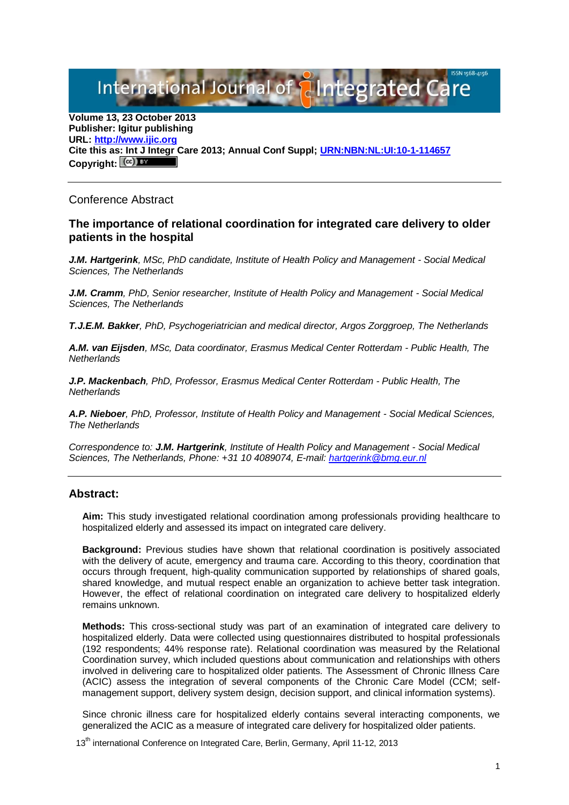International Journal of **Plntegrated** 

**Volume 13, 23 October 2013 Publisher: Igitur publishing URL[: http://www.ijic.org](http://www.ijic.org/) Cite this as: Int J Integr Care 2013; Annual Conf Suppl; [URN:NBN:NL:UI:10-1-114657](http://persistent-identifier.nl/?identifier=URN:NBN:NL:UI:10-1-114657)** Copyright:  $(cc)$  **E**Y

## Conference Abstract

## **The importance of relational coordination for integrated care delivery to older patients in the hospital**

*J.M. Hartgerink, MSc, PhD candidate, Institute of Health Policy and Management - Social Medical Sciences, The Netherlands*

*J.M. Cramm, PhD, Senior researcher, Institute of Health Policy and Management - Social Medical Sciences, The Netherlands*

*T.J.E.M. Bakker, PhD, Psychogeriatrician and medical director, Argos Zorggroep, The Netherlands*

*A.M. van Eijsden, MSc, Data coordinator, Erasmus Medical Center Rotterdam - Public Health, The Netherlands*

*J.P. Mackenbach, PhD, Professor, Erasmus Medical Center Rotterdam - Public Health, The Netherlands*

*A.P. Nieboer, PhD, Professor, Institute of Health Policy and Management - Social Medical Sciences, The Netherlands*

*Correspondence to: J.M. Hartgerink, Institute of Health Policy and Management - Social Medical Sciences, The Netherlands, Phone: +31 10 4089074, E-mail: [hartgerink@bmg.eur.nl](mailto:hartgerink@bmg.eur.nl)*

## **Abstract:**

**Aim:** This study investigated relational coordination among professionals providing healthcare to hospitalized elderly and assessed its impact on integrated care delivery.

**Background:** Previous studies have shown that relational coordination is positively associated with the delivery of acute, emergency and trauma care. According to this theory, coordination that occurs through frequent, high-quality communication supported by relationships of shared goals, shared knowledge, and mutual respect enable an organization to achieve better task integration. However, the effect of relational coordination on integrated care delivery to hospitalized elderly remains unknown.

**Methods:** This cross-sectional study was part of an examination of integrated care delivery to hospitalized elderly. Data were collected using questionnaires distributed to hospital professionals (192 respondents; 44% response rate). Relational coordination was measured by the Relational Coordination survey, which included questions about communication and relationships with others involved in delivering care to hospitalized older patients. The Assessment of Chronic Illness Care (ACIC) assess the integration of several components of the Chronic Care Model (CCM; selfmanagement support, delivery system design, decision support, and clinical information systems).

Since chronic illness care for hospitalized elderly contains several interacting components, we generalized the ACIC as a measure of integrated care delivery for hospitalized older patients.

13<sup>th</sup> international Conference on Integrated Care, Berlin, Germany, April 11-12, 2013